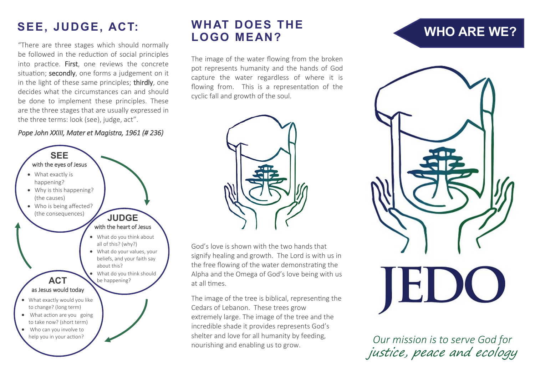#### **SEE, JUDGE, ACT: WHAT DOES THE**

"There are three stages which should normally be followed in the reduction of social principles into practice. First, one reviews the concrete situation; secondly, one forms a judgement on it in the light of these same principles; thirdly, one decides what the circumstances can and should be done to implement these principles. These are the three stages that are usually expressed in the three terms: look (see), judge, act".

#### *Pope John XXIII, Mater et Magistra, 1961 (# 236)*



# **LOGO MEAN?**

The image of the water flowing from the broken pot represents humanity and the hands of God capture the water regardless of where it is flowing from. This is a representation of the cyclic fall and growth of the soul.



God's love is shown with the two hands that signify healing and growth. The Lord is with us in the free flowing of the water demonstrating the Alpha and the Omega of God's love being with us at all times.

The image of the tree is biblical, representing the Cedars of Lebanon. These trees grow extremely large. The image of the tree and the incredible shade it provides represents God's shelter and love for all humanity by feeding, shelter and love for all numanity by feeding,<br> **Our mission is to serve God for**<br> *Our mission is to serve God for* 

## **WHO ARE WE?**



justice, peace and ecology